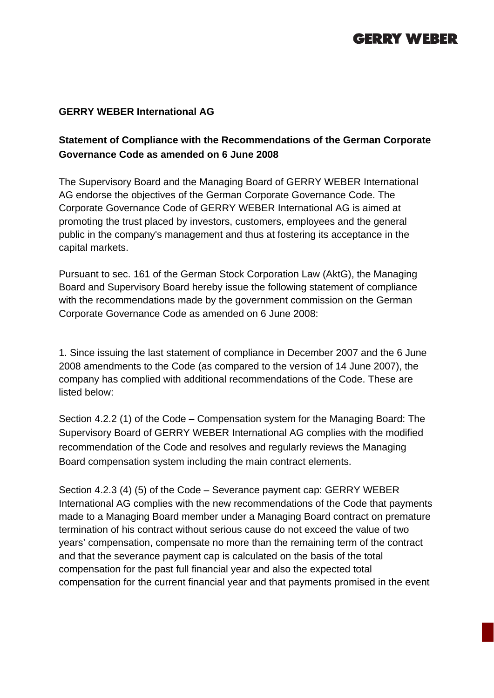# **GERRY WEBER**

#### **GERRY WEBER International AG**

### **Statement of Compliance with the Recommendations of the German Corporate Governance Code as amended on 6 June 2008**

The Supervisory Board and the Managing Board of GERRY WEBER International AG endorse the objectives of the German Corporate Governance Code. The Corporate Governance Code of GERRY WEBER International AG is aimed at promoting the trust placed by investors, customers, employees and the general public in the company's management and thus at fostering its acceptance in the capital markets.

Pursuant to sec. 161 of the German Stock Corporation Law (AktG), the Managing Board and Supervisory Board hereby issue the following statement of compliance with the recommendations made by the government commission on the German Corporate Governance Code as amended on 6 June 2008:

1. Since issuing the last statement of compliance in December 2007 and the 6 June 2008 amendments to the Code (as compared to the version of 14 June 2007), the company has complied with additional recommendations of the Code. These are listed below:

Section 4.2.2 (1) of the Code – Compensation system for the Managing Board: The Supervisory Board of GERRY WEBER International AG complies with the modified recommendation of the Code and resolves and regularly reviews the Managing Board compensation system including the main contract elements.

Section 4.2.3 (4) (5) of the Code – Severance payment cap: GERRY WEBER International AG complies with the new recommendations of the Code that payments made to a Managing Board member under a Managing Board contract on premature termination of his contract without serious cause do not exceed the value of two years' compensation, compensate no more than the remaining term of the contract and that the severance payment cap is calculated on the basis of the total compensation for the past full financial year and also the expected total compensation for the current financial year and that payments promised in the event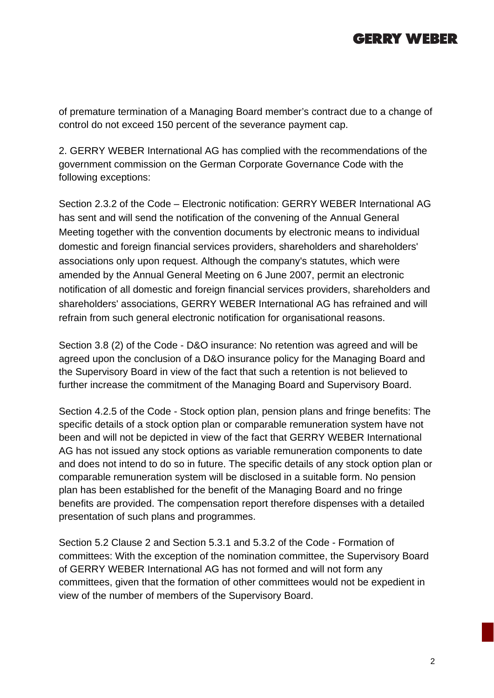# **GERRY WEBER**

of premature termination of a Managing Board member's contract due to a change of control do not exceed 150 percent of the severance payment cap.

2. GERRY WEBER International AG has complied with the recommendations of the government commission on the German Corporate Governance Code with the following exceptions:

Section 2.3.2 of the Code – Electronic notification: GERRY WEBER International AG has sent and will send the notification of the convening of the Annual General Meeting together with the convention documents by electronic means to individual domestic and foreign financial services providers, shareholders and shareholders' associations only upon request. Although the company's statutes, which were amended by the Annual General Meeting on 6 June 2007, permit an electronic notification of all domestic and foreign financial services providers, shareholders and shareholders' associations, GERRY WEBER International AG has refrained and will refrain from such general electronic notification for organisational reasons.

Section 3.8 (2) of the Code - D&O insurance: No retention was agreed and will be agreed upon the conclusion of a D&O insurance policy for the Managing Board and the Supervisory Board in view of the fact that such a retention is not believed to further increase the commitment of the Managing Board and Supervisory Board.

Section 4.2.5 of the Code - Stock option plan, pension plans and fringe benefits: The specific details of a stock option plan or comparable remuneration system have not been and will not be depicted in view of the fact that GERRY WEBER International AG has not issued any stock options as variable remuneration components to date and does not intend to do so in future. The specific details of any stock option plan or comparable remuneration system will be disclosed in a suitable form. No pension plan has been established for the benefit of the Managing Board and no fringe benefits are provided. The compensation report therefore dispenses with a detailed presentation of such plans and programmes.

Section 5.2 Clause 2 and Section 5.3.1 and 5.3.2 of the Code - Formation of committees: With the exception of the nomination committee, the Supervisory Board of GERRY WEBER International AG has not formed and will not form any committees, given that the formation of other committees would not be expedient in view of the number of members of the Supervisory Board.